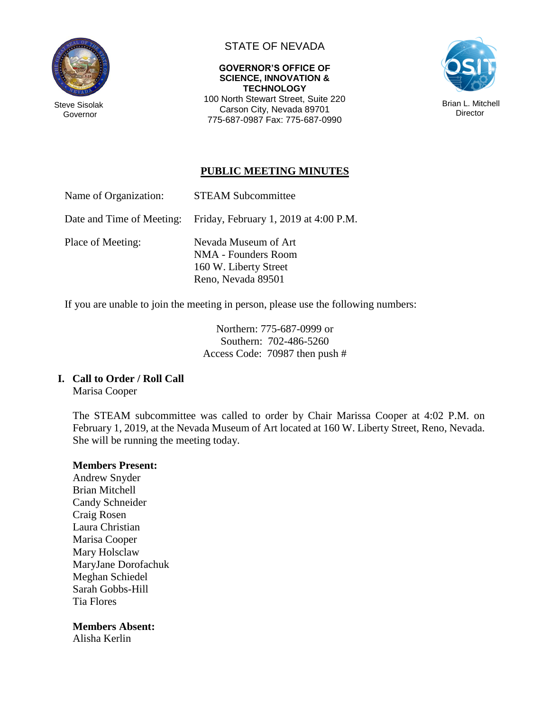

Steve Sisolak Governor

## STATE OF NEVADA

#### **GOVERNOR'S OFFICE OF SCIENCE, INNOVATION & TECHNOLOGY**

100 North Stewart Street, Suite 220 Carson City, Nevada 89701 775-687-0987 Fax: 775-687-0990



## **PUBLIC MEETING MINUTES**

| Name of Organization: | <b>STEAM Subcommittee</b> |
|-----------------------|---------------------------|
|-----------------------|---------------------------|

Date and Time of Meeting: Friday, February 1, 2019 at 4:00 P.M.

Place of Meeting: Nevada Museum of Art NMA - Founders Room 160 W. Liberty Street Reno, Nevada 89501

If you are unable to join the meeting in person, please use the following numbers:

Northern: 775-687-0999 or Southern: 702-486-5260 Access Code: 70987 then push #

#### **I. Call to Order / Roll Call**

Marisa Cooper

The STEAM subcommittee was called to order by Chair Marissa Cooper at 4:02 P.M. on February 1, 2019, at the Nevada Museum of Art located at 160 W. Liberty Street, Reno, Nevada. She will be running the meeting today.

#### **Members Present:**

Andrew Snyder Brian Mitchell Candy Schneider Craig Rosen Laura Christian Marisa Cooper Mary Holsclaw MaryJane Dorofachuk Meghan Schiedel Sarah Gobbs-Hill Tia Flores

#### **Members Absent:**

Alisha Kerlin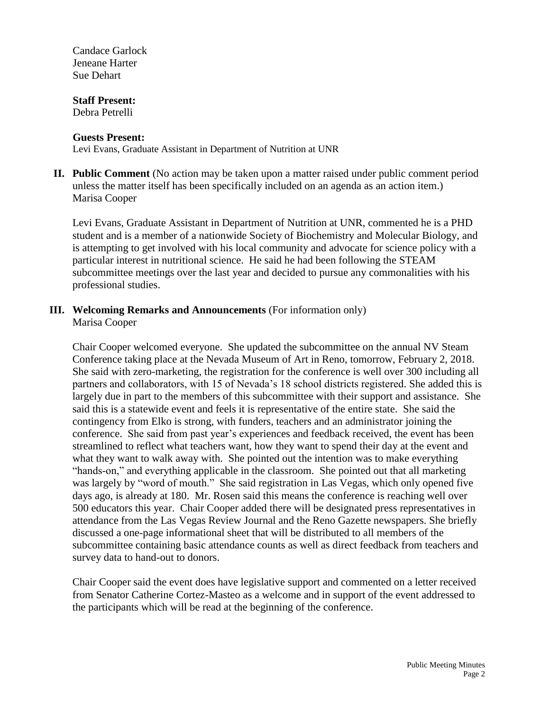Candace Garlock Jeneane Harter Sue Dehart

#### **Staff Present:**

Debra Petrelli

#### **Guests Present:**

Levi Evans, Graduate Assistant in Department of Nutrition at UNR

**II. Public Comment** (No action may be taken upon a matter raised under public comment period unless the matter itself has been specifically included on an agenda as an action item.) Marisa Cooper

Levi Evans, Graduate Assistant in Department of Nutrition at UNR, commented he is a PHD student and is a member of a nationwide Society of Biochemistry and Molecular Biology, and is attempting to get involved with his local community and advocate for science policy with a particular interest in nutritional science. He said he had been following the STEAM subcommittee meetings over the last year and decided to pursue any commonalities with his professional studies.

# **III. Welcoming Remarks and Announcements** (For information only)

Marisa Cooper

Chair Cooper welcomed everyone. She updated the subcommittee on the annual NV Steam Conference taking place at the Nevada Museum of Art in Reno, tomorrow, February 2, 2018. She said with zero-marketing, the registration for the conference is well over 300 including all partners and collaborators, with 15 of Nevada's 18 school districts registered. She added this is largely due in part to the members of this subcommittee with their support and assistance. She said this is a statewide event and feels it is representative of the entire state. She said the contingency from Elko is strong, with funders, teachers and an administrator joining the conference. She said from past year's experiences and feedback received, the event has been streamlined to reflect what teachers want, how they want to spend their day at the event and what they want to walk away with. She pointed out the intention was to make everything "hands-on," and everything applicable in the classroom. She pointed out that all marketing was largely by "word of mouth." She said registration in Las Vegas, which only opened five days ago, is already at 180. Mr. Rosen said this means the conference is reaching well over 500 educators this year. Chair Cooper added there will be designated press representatives in attendance from the Las Vegas Review Journal and the Reno Gazette newspapers. She briefly discussed a one-page informational sheet that will be distributed to all members of the subcommittee containing basic attendance counts as well as direct feedback from teachers and survey data to hand-out to donors.

Chair Cooper said the event does have legislative support and commented on a letter received from Senator Catherine Cortez-Masteo as a welcome and in support of the event addressed to the participants which will be read at the beginning of the conference.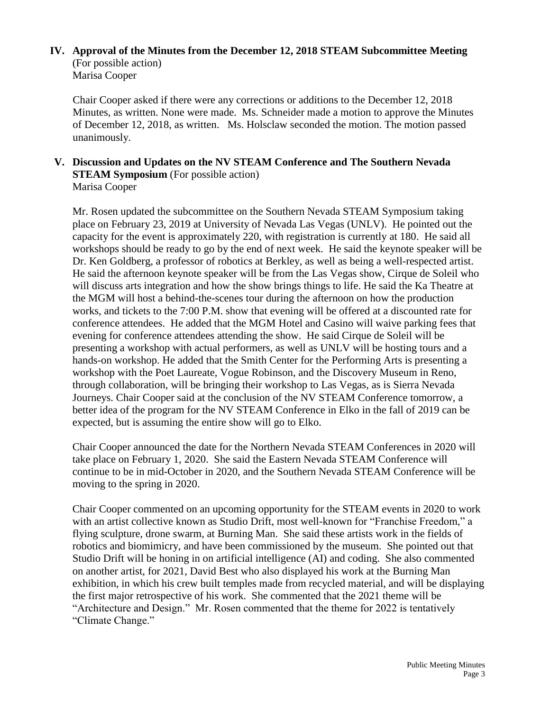#### **IV. Approval of the Minutes from the December 12, 2018 STEAM Subcommittee Meeting** (For possible action) Marisa Cooper

Chair Cooper asked if there were any corrections or additions to the December 12, 2018 Minutes, as written. None were made. Ms. Schneider made a motion to approve the Minutes of December 12, 2018, as written. Ms. Holsclaw seconded the motion. The motion passed unanimously.

#### **V. Discussion and Updates on the NV STEAM Conference and The Southern Nevada STEAM Symposium** (For possible action) Marisa Cooper

Mr. Rosen updated the subcommittee on the Southern Nevada STEAM Symposium taking place on February 23, 2019 at University of Nevada Las Vegas (UNLV). He pointed out the capacity for the event is approximately 220, with registration is currently at 180. He said all workshops should be ready to go by the end of next week. He said the keynote speaker will be Dr. Ken Goldberg, a professor of robotics at Berkley, as well as being a well-respected artist. He said the afternoon keynote speaker will be from the Las Vegas show, Cirque de Soleil who will discuss arts integration and how the show brings things to life. He said the Ka Theatre at the MGM will host a behind-the-scenes tour during the afternoon on how the production works, and tickets to the 7:00 P.M. show that evening will be offered at a discounted rate for conference attendees. He added that the MGM Hotel and Casino will waive parking fees that evening for conference attendees attending the show. He said Cirque de Soleil will be presenting a workshop with actual performers, as well as UNLV will be hosting tours and a hands-on workshop. He added that the Smith Center for the Performing Arts is presenting a workshop with the Poet Laureate, Vogue Robinson, and the Discovery Museum in Reno, through collaboration, will be bringing their workshop to Las Vegas, as is Sierra Nevada Journeys. Chair Cooper said at the conclusion of the NV STEAM Conference tomorrow, a better idea of the program for the NV STEAM Conference in Elko in the fall of 2019 can be expected, but is assuming the entire show will go to Elko.

Chair Cooper announced the date for the Northern Nevada STEAM Conferences in 2020 will take place on February 1, 2020. She said the Eastern Nevada STEAM Conference will continue to be in mid-October in 2020, and the Southern Nevada STEAM Conference will be moving to the spring in 2020.

Chair Cooper commented on an upcoming opportunity for the STEAM events in 2020 to work with an artist collective known as Studio Drift, most well-known for "Franchise Freedom," a flying sculpture, drone swarm, at Burning Man. She said these artists work in the fields of robotics and biomimicry, and have been commissioned by the museum. She pointed out that Studio Drift will be honing in on artificial intelligence (AI) and coding. She also commented on another artist, for 2021, David Best who also displayed his work at the Burning Man exhibition, in which his crew built temples made from recycled material, and will be displaying the first major retrospective of his work. She commented that the 2021 theme will be "Architecture and Design." Mr. Rosen commented that the theme for 2022 is tentatively "Climate Change."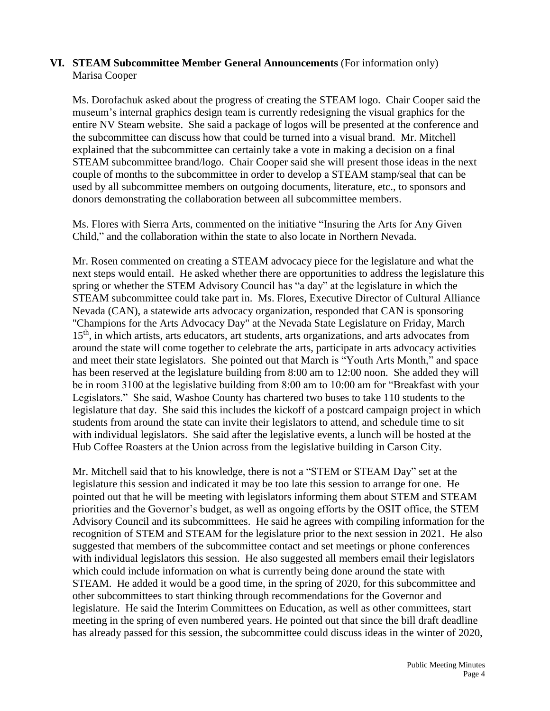#### **VI. STEAM Subcommittee Member General Announcements** (For information only) Marisa Cooper

Ms. Dorofachuk asked about the progress of creating the STEAM logo. Chair Cooper said the museum's internal graphics design team is currently redesigning the visual graphics for the entire NV Steam website. She said a package of logos will be presented at the conference and the subcommittee can discuss how that could be turned into a visual brand. Mr. Mitchell explained that the subcommittee can certainly take a vote in making a decision on a final STEAM subcommittee brand/logo. Chair Cooper said she will present those ideas in the next couple of months to the subcommittee in order to develop a STEAM stamp/seal that can be used by all subcommittee members on outgoing documents, literature, etc., to sponsors and donors demonstrating the collaboration between all subcommittee members.

Ms. Flores with Sierra Arts, commented on the initiative "Insuring the Arts for Any Given Child," and the collaboration within the state to also locate in Northern Nevada.

Mr. Rosen commented on creating a STEAM advocacy piece for the legislature and what the next steps would entail. He asked whether there are opportunities to address the legislature this spring or whether the STEM Advisory Council has "a day" at the legislature in which the STEAM subcommittee could take part in. Ms. Flores, Executive Director of Cultural Alliance Nevada (CAN), a statewide arts advocacy organization, responded that CAN is sponsoring "Champions for the Arts Advocacy Day" at the Nevada State Legislature on Friday, March 15<sup>th</sup>, in which artists, arts educators, art students, arts organizations, and arts advocates from around the state will come together to celebrate the arts, participate in arts advocacy activities and meet their state legislators. She pointed out that March is "Youth Arts Month," and space has been reserved at the legislature building from 8:00 am to 12:00 noon. She added they will be in room 3100 at the legislative building from 8:00 am to 10:00 am for "Breakfast with your Legislators." She said, Washoe County has chartered two buses to take 110 students to the legislature that day. She said this includes the kickoff of a postcard campaign project in which students from around the state can invite their legislators to attend, and schedule time to sit with individual legislators. She said after the legislative events, a lunch will be hosted at the Hub Coffee Roasters at the Union across from the legislative building in Carson City.

Mr. Mitchell said that to his knowledge, there is not a "STEM or STEAM Day" set at the legislature this session and indicated it may be too late this session to arrange for one. He pointed out that he will be meeting with legislators informing them about STEM and STEAM priorities and the Governor's budget, as well as ongoing efforts by the OSIT office, the STEM Advisory Council and its subcommittees. He said he agrees with compiling information for the recognition of STEM and STEAM for the legislature prior to the next session in 2021. He also suggested that members of the subcommittee contact and set meetings or phone conferences with individual legislators this session. He also suggested all members email their legislators which could include information on what is currently being done around the state with STEAM. He added it would be a good time, in the spring of 2020, for this subcommittee and other subcommittees to start thinking through recommendations for the Governor and legislature. He said the Interim Committees on Education, as well as other committees, start meeting in the spring of even numbered years. He pointed out that since the bill draft deadline has already passed for this session, the subcommittee could discuss ideas in the winter of 2020,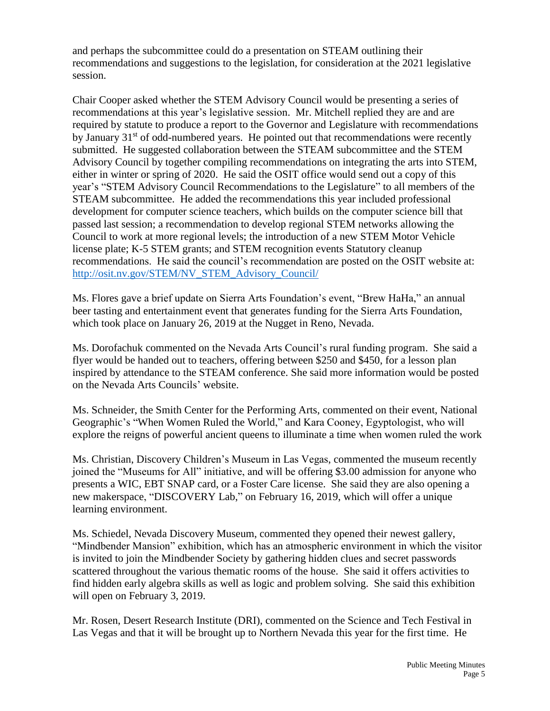and perhaps the subcommittee could do a presentation on STEAM outlining their recommendations and suggestions to the legislation, for consideration at the 2021 legislative session.

Chair Cooper asked whether the STEM Advisory Council would be presenting a series of recommendations at this year's legislative session. Mr. Mitchell replied they are and are required by statute to produce a report to the Governor and Legislature with recommendations by January  $31<sup>st</sup>$  of odd-numbered years. He pointed out that recommendations were recently submitted. He suggested collaboration between the STEAM subcommittee and the STEM Advisory Council by together compiling recommendations on integrating the arts into STEM, either in winter or spring of 2020. He said the OSIT office would send out a copy of this year's "STEM Advisory Council Recommendations to the Legislature" to all members of the STEAM subcommittee. He added the recommendations this year included professional development for computer science teachers, which builds on the computer science bill that passed last session; a recommendation to develop regional STEM networks allowing the Council to work at more regional levels; the introduction of a new STEM Motor Vehicle license plate; K-5 STEM grants; and STEM recognition events Statutory cleanup recommendations. He said the council's recommendation are posted on the OSIT website at: [http://osit.nv.gov/STEM/NV\\_STEM\\_Advisory\\_Council/](http://osit.nv.gov/STEM/NV_STEM_Advisory_Council/)

Ms. Flores gave a brief update on Sierra Arts Foundation's event, "Brew HaHa," an annual beer tasting and entertainment event that generates funding for the Sierra Arts Foundation, which took place on January 26, 2019 at the Nugget in Reno, Nevada.

Ms. Dorofachuk commented on the Nevada Arts Council's rural funding program. She said a flyer would be handed out to teachers, offering between \$250 and \$450, for a lesson plan inspired by attendance to the STEAM conference. She said more information would be posted on the Nevada Arts Councils' website.

Ms. Schneider, the Smith Center for the Performing Arts, commented on their event, National Geographic's "When Women Ruled the World," and Kara Cooney, Egyptologist, who will explore the reigns of powerful ancient queens to illuminate a time when women ruled the work

Ms. Christian, Discovery Children's Museum in Las Vegas, commented the museum recently joined the "Museums for All" initiative, and will be offering \$3.00 admission for anyone who presents a WIC, EBT SNAP card, or a Foster Care license. She said they are also opening a new makerspace, "DISCOVERY Lab," on February 16, 2019, which will offer a unique learning environment.

Ms. Schiedel, Nevada Discovery Museum, commented they opened their newest gallery, "Mindbender Mansion" exhibition, which has an atmospheric environment in which the visitor is invited to join the Mindbender Society by gathering hidden clues and secret passwords scattered throughout the various thematic rooms of the house. She said it offers activities to find hidden early algebra skills as well as logic and problem solving. She said this exhibition will open on February 3, 2019.

Mr. Rosen, Desert Research Institute (DRI), commented on the Science and Tech Festival in Las Vegas and that it will be brought up to Northern Nevada this year for the first time. He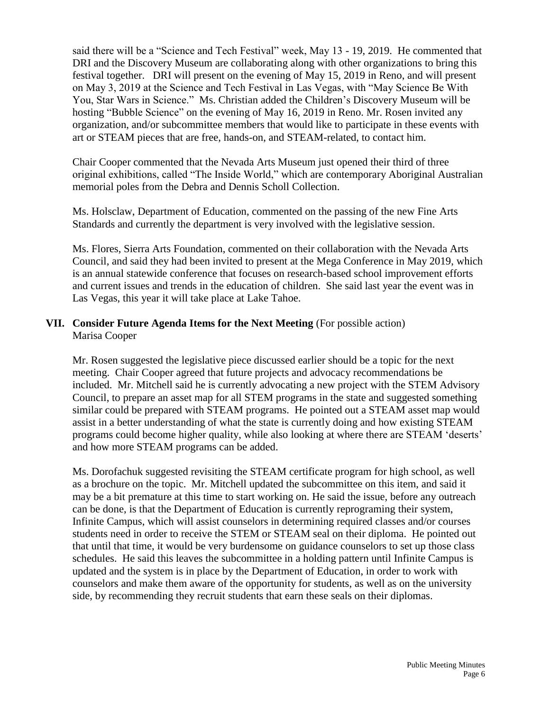said there will be a "Science and Tech Festival" week, May 13 - 19, 2019. He commented that DRI and the Discovery Museum are collaborating along with other organizations to bring this festival together. DRI will present on the evening of May 15, 2019 in Reno, and will present on May 3, 2019 at the Science and Tech Festival in Las Vegas, with "May Science Be With You, Star Wars in Science." Ms. Christian added the Children's Discovery Museum will be hosting "Bubble Science" on the evening of May 16, 2019 in Reno. Mr. Rosen invited any organization, and/or subcommittee members that would like to participate in these events with art or STEAM pieces that are free, hands-on, and STEAM-related, to contact him.

Chair Cooper commented that the Nevada Arts Museum just opened their third of three original exhibitions, called "The Inside World," which are contemporary Aboriginal Australian memorial poles from the Debra and Dennis Scholl Collection.

Ms. Holsclaw, Department of Education, commented on the passing of the new Fine Arts Standards and currently the department is very involved with the legislative session.

Ms. Flores, Sierra Arts Foundation, commented on their collaboration with the Nevada Arts Council, and said they had been invited to present at the Mega Conference in May 2019, which is an annual statewide conference that focuses on research-based school improvement efforts and current issues and trends in the education of children. She said last year the event was in Las Vegas, this year it will take place at Lake Tahoe.

### **VII. Consider Future Agenda Items for the Next Meeting** (For possible action) Marisa Cooper

Mr. Rosen suggested the legislative piece discussed earlier should be a topic for the next meeting. Chair Cooper agreed that future projects and advocacy recommendations be included. Mr. Mitchell said he is currently advocating a new project with the STEM Advisory Council, to prepare an asset map for all STEM programs in the state and suggested something similar could be prepared with STEAM programs. He pointed out a STEAM asset map would assist in a better understanding of what the state is currently doing and how existing STEAM programs could become higher quality, while also looking at where there are STEAM 'deserts' and how more STEAM programs can be added.

Ms. Dorofachuk suggested revisiting the STEAM certificate program for high school, as well as a brochure on the topic. Mr. Mitchell updated the subcommittee on this item, and said it may be a bit premature at this time to start working on. He said the issue, before any outreach can be done, is that the Department of Education is currently reprograming their system, Infinite Campus, which will assist counselors in determining required classes and/or courses students need in order to receive the STEM or STEAM seal on their diploma. He pointed out that until that time, it would be very burdensome on guidance counselors to set up those class schedules. He said this leaves the subcommittee in a holding pattern until Infinite Campus is updated and the system is in place by the Department of Education, in order to work with counselors and make them aware of the opportunity for students, as well as on the university side, by recommending they recruit students that earn these seals on their diplomas.